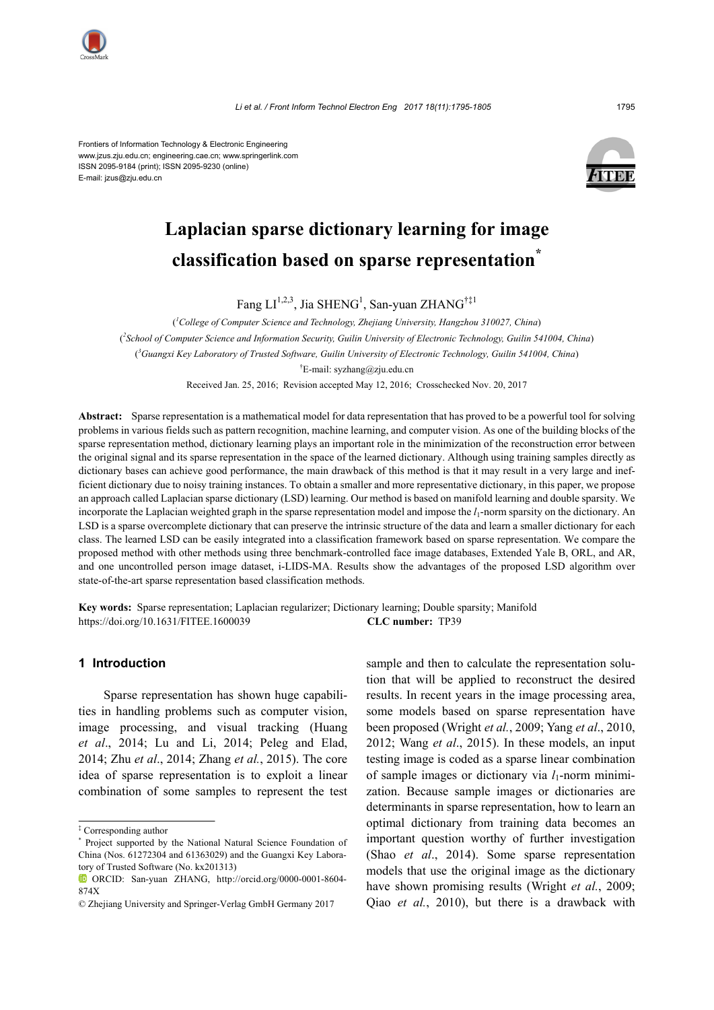

Frontiers of Information Technology & Electronic Engineering www.jzus.zju.edu.cn; engineering.cae.cn; www.springerlink.com ISSN 2095-9184 (print); ISSN 2095-9230 (online) E-mail: jzus@zju.edu.cn



# **Laplacian sparse dictionary learning for image classification based on sparse representation\***

Fang LI<sup>1,2,3</sup>, Jia SHENG<sup>1</sup>, San-yuan ZHANG<sup>†‡1</sup>

( *1 College of Computer Science and Technology, Zhejiang University, Hangzhou 310027, China*) ( *2 School of Computer Science and Information Security, Guilin University of Electronic Technology, Guilin 541004, China*) ( *3 Guangxi Key Laboratory of Trusted Software, Guilin University of Electronic Technology, Guilin 541004, China*) † E-mail: syzhang@zju.edu.cn

Received Jan. 25, 2016; Revision accepted May 12, 2016; Crosschecked Nov. 20, 2017

**Abstract:** Sparse representation is a mathematical model for data representation that has proved to be a powerful tool for solving problems in various fields such as pattern recognition, machine learning, and computer vision. As one of the building blocks of the sparse representation method, dictionary learning plays an important role in the minimization of the reconstruction error between the original signal and its sparse representation in the space of the learned dictionary. Although using training samples directly as dictionary bases can achieve good performance, the main drawback of this method is that it may result in a very large and inefficient dictionary due to noisy training instances. To obtain a smaller and more representative dictionary, in this paper, we propose an approach called Laplacian sparse dictionary (LSD) learning. Our method is based on manifold learning and double sparsity. We incorporate the Laplacian weighted graph in the sparse representation model and impose the *l*<sub>1</sub>-norm sparsity on the dictionary. An LSD is a sparse overcomplete dictionary that can preserve the intrinsic structure of the data and learn a smaller dictionary for each class. The learned LSD can be easily integrated into a classification framework based on sparse representation. We compare the proposed method with other methods using three benchmark-controlled face image databases, Extended Yale B, ORL, and AR, and one uncontrolled person image dataset, i-LIDS-MA. Results show the advantages of the proposed LSD algorithm over state-of-the-art sparse representation based classification methods.

**Key words:** Sparse representation; Laplacian regularizer; Dictionary learning; Double sparsity; Manifold https://doi.org/10.1631/FITEE.1600039 **CLC number:** TP39

# **1 Introduction**

Sparse representation has shown huge capabilities in handling problems such as computer vision, image processing, and visual tracking (Huang *et al*., 2014; Lu and Li, 2014; Peleg and Elad, 2014; Zhu *et al*., 2014; Zhang *et al.*, 2015). The core idea of sparse representation is to exploit a linear combination of some samples to represent the test

sample and then to calculate the representation solution that will be applied to reconstruct the desired results. In recent years in the image processing area, some models based on sparse representation have been proposed (Wright *et al.*, 2009; Yang *et al*., 2010, 2012; Wang *et al*., 2015). In these models, an input testing image is coded as a sparse linear combination of sample images or dictionary via *l*1-norm minimization. Because sample images or dictionaries are determinants in sparse representation, how to learn an optimal dictionary from training data becomes an important question worthy of further investigation (Shao *et al*., 2014). Some sparse representation models that use the original image as the dictionary have shown promising results (Wright *et al.*, 2009; Qiao *et al.*, 2010), but there is a drawback with

<sup>‡</sup> Corresponding author

<sup>\*</sup> Project supported by the National Natural Science Foundation of China (Nos. 61272304 and 61363029) and the Guangxi Key Laboratory of Trusted Software (No. kx201313)

ORCID: San-yuan ZHANG, http://orcid.org/0000-0001-8604- 874X

<sup>©</sup> Zhejiang University and Springer-Verlag GmbH Germany 2017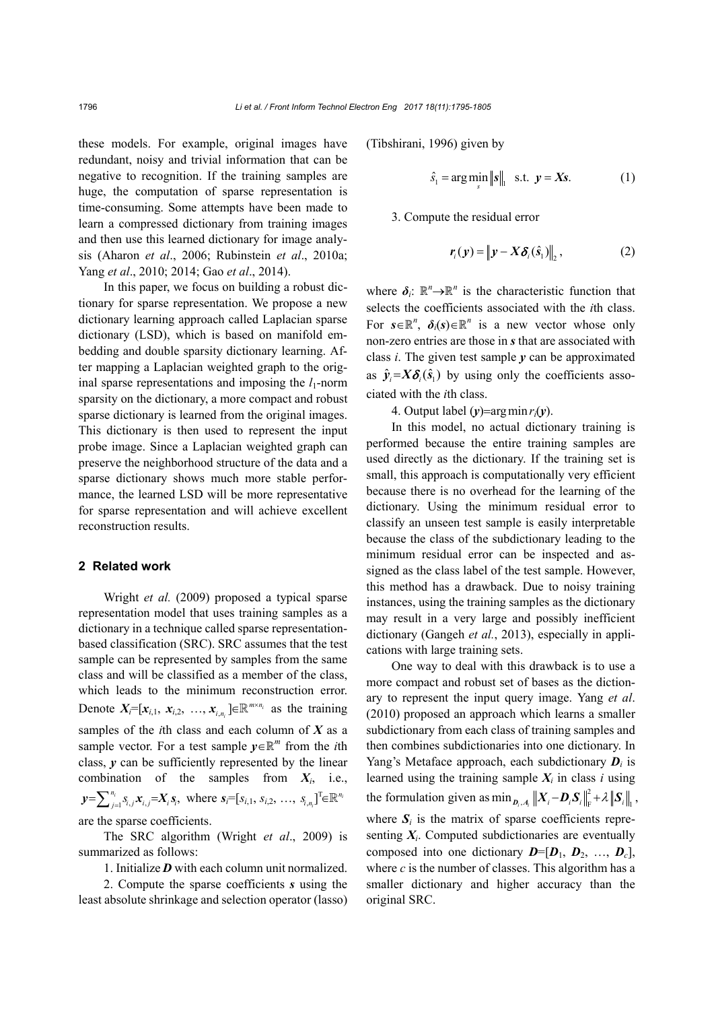these models. For example, original images have redundant, noisy and trivial information that can be negative to recognition. If the training samples are huge, the computation of sparse representation is time-consuming. Some attempts have been made to learn a compressed dictionary from training images and then use this learned dictionary for image analysis (Aharon *et al*., 2006; Rubinstein *et al*., 2010a; Yang *et al*., 2010; 2014; Gao *et al*., 2014).

In this paper, we focus on building a robust dictionary for sparse representation. We propose a new dictionary learning approach called Laplacian sparse dictionary (LSD), which is based on manifold embedding and double sparsity dictionary learning. After mapping a Laplacian weighted graph to the original sparse representations and imposing the  $l_1$ -norm sparsity on the dictionary, a more compact and robust sparse dictionary is learned from the original images. This dictionary is then used to represent the input probe image. Since a Laplacian weighted graph can preserve the neighborhood structure of the data and a sparse dictionary shows much more stable performance, the learned LSD will be more representative for sparse representation and will achieve excellent reconstruction results.

# **2 Related work**

Wright *et al.* (2009) proposed a typical sparse representation model that uses training samples as a dictionary in a technique called sparse representationbased classification (SRC). SRC assumes that the test sample can be represented by samples from the same class and will be classified as a member of the class, which leads to the minimum reconstruction error. Denote  $X_i = [x_{i,1}, x_{i,2}, ..., x_{i,n_i}] \in \mathbb{R}^{m \times n_i}$  $\mathbf{x}_{i,n_i}$  e $\mathbb{R}^{m \times n_i}$  as the training samples of the *i*th class and each column of *X* as a sample vector. For a test sample  $y \in \mathbb{R}^m$  from the *i*th class,  $\nu$  can be sufficiently represented by the linear combination of the samples from *Xi*, i.e.,  $y = \sum_{j=1}^{n_i} s_{i,j} x_{i,j} = X_i s_i$ , where  $s_i = [s_{i,1}, s_{i,2}, \dots, s_{i,n_i}]^T \in \mathbb{R}^{n_i}$  $\left[\sum_{i,n_i}\right]^T \in \mathbb{R}^n$ are the sparse coefficients.

The SRC algorithm (Wright *et al*., 2009) is summarized as follows:

1. Initialize *D* with each column unit normalized.

2. Compute the sparse coefficients *s* using the least absolute shrinkage and selection operator (lasso) (Tibshirani, 1996) given by

$$
\hat{s}_1 = \arg\min_{s} \|\mathbf{s}\|_1 \quad \text{s.t.} \quad \mathbf{y} = \mathbf{X}\mathbf{s}.\tag{1}
$$

3. Compute the residual error

$$
\mathbf{r}_{i}(\mathbf{y}) = \left\|\mathbf{y} - X\boldsymbol{\delta}_{i}(\hat{\mathbf{s}}_{1})\right\|_{2},\tag{2}
$$

where  $\delta_i$ :  $\mathbb{R}^n \rightarrow \mathbb{R}^n$  is the characteristic function that selects the coefficients associated with the *i*th class. For  $s \in \mathbb{R}^n$ ,  $\delta_i(s) \in \mathbb{R}^n$  is a new vector whose only non-zero entries are those in *s* that are associated with class *i*. The given test sample *y* can be approximated as  $\hat{y}_i = X \delta_i(\hat{s}_1)$  by using only the coefficients associated with the *i*th class.

4. Output label  $(y)$ =argmin $r_i(y)$ .

In this model, no actual dictionary training is performed because the entire training samples are used directly as the dictionary. If the training set is small, this approach is computationally very efficient because there is no overhead for the learning of the dictionary. Using the minimum residual error to classify an unseen test sample is easily interpretable because the class of the subdictionary leading to the minimum residual error can be inspected and assigned as the class label of the test sample. However, this method has a drawback. Due to noisy training instances, using the training samples as the dictionary may result in a very large and possibly inefficient dictionary (Gangeh *et al.*, 2013), especially in applications with large training sets.

One way to deal with this drawback is to use a more compact and robust set of bases as the dictionary to represent the input query image. Yang *et al*. (2010) proposed an approach which learns a smaller subdictionary from each class of training samples and then combines subdictionaries into one dictionary. In Yang's Metaface approach, each subdictionary *Di* is learned using the training sample  $X_i$  in class *i* using the formulation given as  $\min_{D_i, A_i} ||X_i - D_i S_i||_F^2 + \lambda ||S_i||_1$ , where  $S_i$  is the matrix of sparse coefficients representing *Xi*. Computed subdictionaries are eventually composed into one dictionary  $\mathbf{D}=[\mathbf{D}_1, \mathbf{D}_2, \dots, \mathbf{D}_c]$ , where  $c$  is the number of classes. This algorithm has a smaller dictionary and higher accuracy than the original SRC.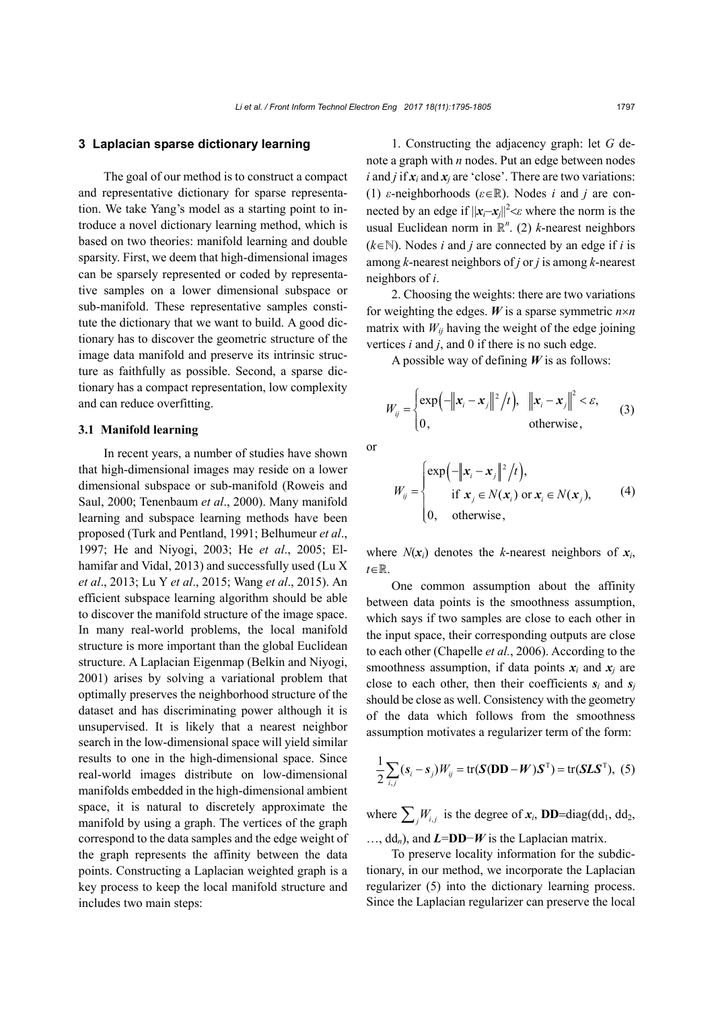#### **3 Laplacian sparse dictionary learning**

The goal of our method is to construct a compact and representative dictionary for sparse representation. We take Yang's model as a starting point to introduce a novel dictionary learning method, which is based on two theories: manifold learning and double sparsity. First, we deem that high-dimensional images can be sparsely represented or coded by representative samples on a lower dimensional subspace or sub-manifold. These representative samples constitute the dictionary that we want to build. A good dictionary has to discover the geometric structure of the image data manifold and preserve its intrinsic structure as faithfully as possible. Second, a sparse dictionary has a compact representation, low complexity and can reduce overfitting.

#### **3.1 Manifold learning**

In recent years, a number of studies have shown that high-dimensional images may reside on a lower dimensional subspace or sub-manifold (Roweis and Saul, 2000; Tenenbaum *et al*., 2000). Many manifold learning and subspace learning methods have been proposed (Turk and Pentland, 1991; Belhumeur *et al*., 1997; He and Niyogi, 2003; He *et al*., 2005; Elhamifar and Vidal, 2013) and successfully used (Lu X *et al*., 2013; Lu Y *et al*., 2015; Wang *et al*., 2015). An efficient subspace learning algorithm should be able to discover the manifold structure of the image space. In many real-world problems, the local manifold structure is more important than the global Euclidean structure. A Laplacian Eigenmap (Belkin and Niyogi, 2001) arises by solving a variational problem that optimally preserves the neighborhood structure of the dataset and has discriminating power although it is unsupervised. It is likely that a nearest neighbor search in the low-dimensional space will yield similar results to one in the high-dimensional space. Since real-world images distribute on low-dimensional manifolds embedded in the high-dimensional ambient space, it is natural to discretely approximate the manifold by using a graph. The vertices of the graph correspond to the data samples and the edge weight of the graph represents the affinity between the data points. Constructing a Laplacian weighted graph is a key process to keep the local manifold structure and includes two main steps:

1. Constructing the adjacency graph: let *G* denote a graph with *n* nodes. Put an edge between nodes *i* and *j* if  $x_i$  and  $x_j$  are 'close'. There are two variations: (1)  $\varepsilon$ -neighborhoods ( $\varepsilon \in \mathbb{R}$ ). Nodes *i* and *j* are connected by an edge if  $||x_i-x_j||^2 < \varepsilon$  where the norm is the usual Euclidean norm in  $\mathbb{R}^n$ . (2) *k*-nearest neighbors  $(k \in \mathbb{N})$ . Nodes *i* and *j* are connected by an edge if *i* is among *k*-nearest neighbors of *j* or *j* is among *k*-nearest neighbors of *i*.

2. Choosing the weights: there are two variations for weighting the edges. *W* is a sparse symmetric  $n \times n$ matrix with  $W_{ij}$  having the weight of the edge joining vertices *i* and *j*, and 0 if there is no such edge.

A possible way of defining *W* is as follows:

$$
W_{ij} = \begin{cases} \exp\left(-\left\|\mathbf{x}_i - \mathbf{x}_j\right\|^2 / t\right), & \left\|\mathbf{x}_i - \mathbf{x}_j\right\|^2 < \varepsilon, \\ 0, & \text{otherwise}, \end{cases}
$$
 (3)

or

$$
W_{ij} = \begin{cases} \exp\left(-\left\|\mathbf{x}_i - \mathbf{x}_j\right\|^2 / t\right), \\ \text{if } \mathbf{x}_j \in N(\mathbf{x}_i) \text{ or } \mathbf{x}_i \in N(\mathbf{x}_j), \\ 0, \quad \text{otherwise}, \end{cases} (4)
$$

where  $N(x_i)$  denotes the *k*-nearest neighbors of  $x_i$ ,  $t \in \mathbb{R}$ .

One common assumption about the affinity between data points is the smoothness assumption, which says if two samples are close to each other in the input space, their corresponding outputs are close to each other (Chapelle *et al.*, 2006). According to the smoothness assumption, if data points  $x_i$  and  $x_j$  are close to each other, then their coefficients  $s_i$  and  $s_j$ should be close as well. Consistency with the geometry of the data which follows from the smoothness assumption motivates a regularizer term of the form:

$$
\frac{1}{2}\sum_{i,j}(s_i - s_j)W_{ij} = \text{tr}(\mathbf{S}(\mathbf{DD} - \mathbf{W})\mathbf{S}^{\text{T}}) = \text{tr}(\mathbf{S}\mathbf{L}\mathbf{S}^{\text{T}}), (5)
$$

where  $\sum_{i} W_{i,j}$  is the degree of  $x_i$ , **DD**=diag(dd<sub>1</sub>, dd<sub>2</sub>,

, dd*n*), and *L*=**DD**−*W* is the Laplacian matrix.

To preserve locality information for the subdictionary, in our method, we incorporate the Laplacian regularizer (5) into the dictionary learning process. Since the Laplacian regularizer can preserve the local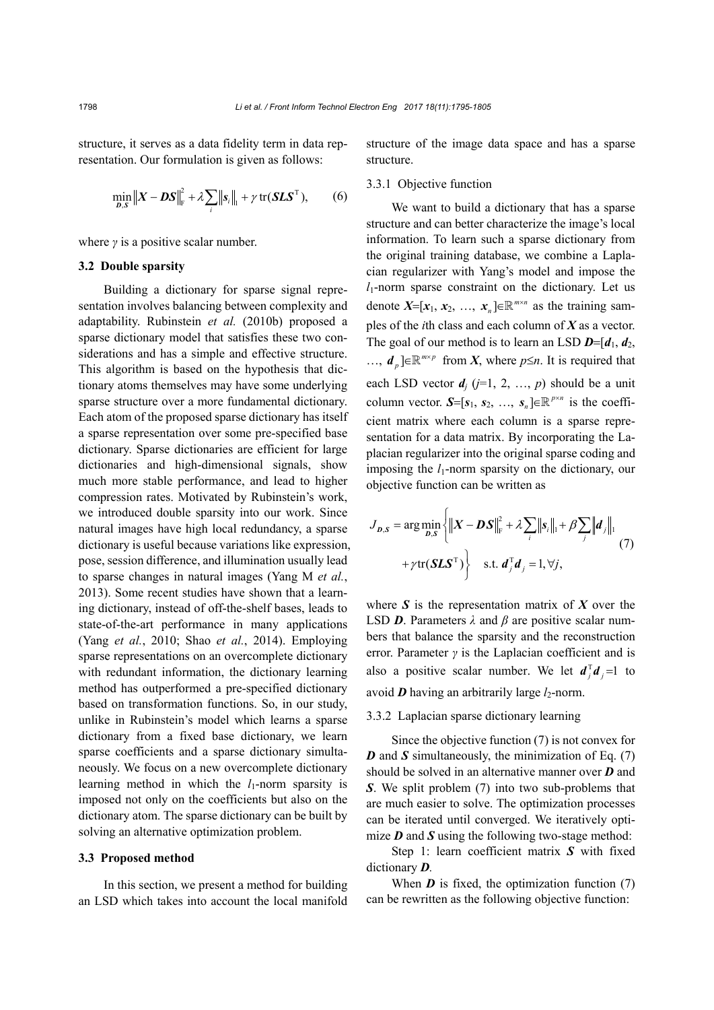structure, it serves as a data fidelity term in data representation. Our formulation is given as follows:

$$
\min_{\boldsymbol{D}, \boldsymbol{S}} \|\boldsymbol{X} - \boldsymbol{D}\boldsymbol{S}\|_{\text{F}}^2 + \lambda \sum_i \|\boldsymbol{s}_i\|_1 + \gamma \operatorname{tr}(\boldsymbol{S}\boldsymbol{L}\boldsymbol{S}^{\text{T}}), \qquad (6)
$$

where  $\gamma$  is a positive scalar number.

#### **3.2 Double sparsity**

Building a dictionary for sparse signal representation involves balancing between complexity and adaptability. Rubinstein *et al.* (2010b) proposed a sparse dictionary model that satisfies these two considerations and has a simple and effective structure. This algorithm is based on the hypothesis that dictionary atoms themselves may have some underlying sparse structure over a more fundamental dictionary. Each atom of the proposed sparse dictionary has itself a sparse representation over some pre-specified base dictionary. Sparse dictionaries are efficient for large dictionaries and high-dimensional signals, show much more stable performance, and lead to higher compression rates. Motivated by Rubinstein's work, we introduced double sparsity into our work. Since natural images have high local redundancy, a sparse dictionary is useful because variations like expression, pose, session difference, and illumination usually lead to sparse changes in natural images (Yang M *et al.*, 2013). Some recent studies have shown that a learning dictionary, instead of off-the-shelf bases, leads to state-of-the-art performance in many applications (Yang *et al.*, 2010; Shao *et al.*, 2014). Employing sparse representations on an overcomplete dictionary with redundant information, the dictionary learning method has outperformed a pre-specified dictionary based on transformation functions. So, in our study, unlike in Rubinstein's model which learns a sparse dictionary from a fixed base dictionary, we learn sparse coefficients and a sparse dictionary simultaneously. We focus on a new overcomplete dictionary learning method in which the  $l_1$ -norm sparsity is imposed not only on the coefficients but also on the dictionary atom. The sparse dictionary can be built by solving an alternative optimization problem.

# **3.3 Proposed method**

In this section, we present a method for building an LSD which takes into account the local manifold

structure of the image data space and has a sparse structure.

#### 3.3.1 Objective function

We want to build a dictionary that has a sparse structure and can better characterize the image's local information. To learn such a sparse dictionary from the original training database, we combine a Laplacian regularizer with Yang's model and impose the  $l_1$ -norm sparse constraint on the dictionary. Let us denote  $X=[x_1, x_2, ..., x_n] \in \mathbb{R}^{m \times n}$  as the training samples of the *i*th class and each column of *X* as a vector. The goal of our method is to learn an LSD  $D=[d_1, d_2,$  $\ldots$ ,  $d_p$   $\in \mathbb{R}^{m \times p}$  from *X*, where  $p \leq n$ . It is required that each LSD vector  $d_j$  ( $j=1, 2, ..., p$ ) should be a unit column vector.  $S = [s_1, s_2, ..., s_n] \in \mathbb{R}^{p \times n}$  is the coefficient matrix where each column is a sparse representation for a data matrix. By incorporating the Laplacian regularizer into the original sparse coding and imposing the  $l_1$ -norm sparsity on the dictionary, our objective function can be written as

$$
J_{D,S} = \arg\min_{D,S} \left\{ ||\boldsymbol{X} - \boldsymbol{D} \boldsymbol{S}||_{\text{F}}^2 + \lambda \sum_{i} ||\boldsymbol{s}_{i}||_1 + \beta \sum_{j} ||\boldsymbol{d}_{j}||_1 + \gamma \text{tr}(\boldsymbol{S} \boldsymbol{L} \boldsymbol{S}^{\text{T}}) \right\}
$$
 (7)

where  $S$  is the representation matrix of  $X$  over the LSD *D*. Parameters  $\lambda$  and  $\beta$  are positive scalar numbers that balance the sparsity and the reconstruction error. Parameter *γ* is the Laplacian coefficient and is also a positive scalar number. We let  $d_i^T d_i = 1$  to avoid  $\boldsymbol{D}$  having an arbitrarily large  $l_2$ -norm.

## 3.3.2 Laplacian sparse dictionary learning

Since the objective function (7) is not convex for *D* and *S* simultaneously, the minimization of Eq. (7) should be solved in an alternative manner over *D* and *S*. We split problem (7) into two sub-problems that are much easier to solve. The optimization processes can be iterated until converged. We iteratively optimize *D* and *S* using the following two-stage method:

Step 1: learn coefficient matrix *S* with fixed dictionary *D.*

When  $\boldsymbol{D}$  is fixed, the optimization function (7) can be rewritten as the following objective function: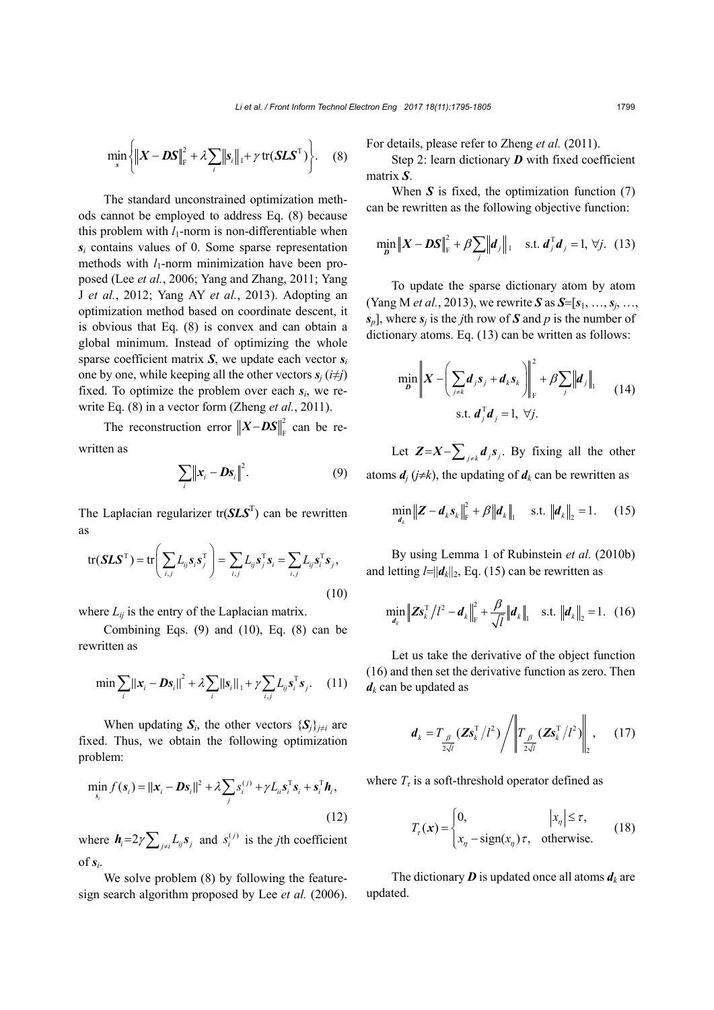$$
\min_{s} \left\{ \left\| \boldsymbol{X} - \boldsymbol{D}\boldsymbol{S} \right\|_{\mathrm{F}}^{2} + \lambda \sum_{i} \left\| \boldsymbol{s}_{i} \right\|_{1} + \gamma \operatorname{tr}(\boldsymbol{S} \boldsymbol{L} \boldsymbol{S}^{\mathrm{T}}) \right\}.
$$
 (8)

The standard unconstrained optimization methods cannot be employed to address Eq. (8) because this problem with  $l_1$ -norm is non-differentiable when *si* contains values of 0. Some sparse representation methods with  $l_1$ -norm minimization have been proposed (Lee *et al.*, 2006; Yang and Zhang, 2011; Yang J *et al.*, 2012; Yang AY *et al.*, 2013). Adopting an optimization method based on coordinate descent, it is obvious that Eq. (8) is convex and can obtain a global minimum. Instead of optimizing the whole sparse coefficient matrix  $S$ , we update each vector  $s_i$ one by one, while keeping all the other vectors  $s_i$  ( $i \neq j$ ) fixed. To optimize the problem over each  $s_i$ , we rewrite Eq. (8) in a vector form (Zheng *et al.*, 2011).

The reconstruction error  $||X - DS||_{F}^{2}$  can be rewritten as

$$
\sum_{i} \left\| \boldsymbol{x}_{i} - \boldsymbol{D} \boldsymbol{s}_{i} \right\|^{2}.
$$
 (9)

The Laplacian regularizer  $tr(SLS<sup>T</sup>)$  can be rewritten as

$$
\text{tr}(\boldsymbol{SLS}^{\mathrm{T}}) = \text{tr}\Bigg(\sum_{i,j} L_{ij} \boldsymbol{s}_i \boldsymbol{s}_j^{\mathrm{T}}\Bigg) = \sum_{i,j} L_{ij} \boldsymbol{s}_j^{\mathrm{T}} \boldsymbol{s}_i = \sum_{i,j} L_{ij} \boldsymbol{s}_i^{\mathrm{T}} \boldsymbol{s}_j,
$$
\n(10)

where  $L_{ij}$  is the entry of the Laplacian matrix.

Combining Eqs.  $(9)$  and  $(10)$ , Eq.  $(8)$  can be rewritten as

$$
\min \sum_{i} ||\boldsymbol{x}_{i} - \boldsymbol{D}\boldsymbol{s}_{i}||^{2} + \lambda \sum_{i} ||\boldsymbol{s}_{i}||_{1} + \gamma \sum_{i,j} L_{ij} \boldsymbol{s}_{i}^{\mathrm{T}} \boldsymbol{s}_{j}. \tag{11}
$$

When updating  $S_i$ , the other vectors  $\{S_i\}_{i \neq i}$  are fixed. Thus, we obtain the following optimization problem:

$$
\min_{s_i} f(\mathbf{s}_i) = ||\mathbf{x}_i - \mathbf{D}\mathbf{s}_i||^2 + \lambda \sum_j s_i^{(j)} + \gamma L_{ii} \mathbf{s}_i^{\mathrm{T}} \mathbf{s}_i + \mathbf{s}_i^{\mathrm{T}} \mathbf{h}_i,
$$
\n(12)

where  $h_i = 2\gamma \sum_{j \neq i} L_{ij} s_j$  and  $s_i^{(j)}$  is the *j*th coefficient of *si*.

We solve problem  $(8)$  by following the featuresign search algorithm proposed by Lee *et al.* (2006). For details, please refer to Zheng *et al.* (2011).

Step 2: learn dictionary *D* with fixed coefficient matrix *S*.

When *S* is fixed, the optimization function (7) can be rewritten as the following objective function:

$$
\min_{\boldsymbol{D}} \|\boldsymbol{X} - \boldsymbol{D}\boldsymbol{S}\|_{\text{F}}^2 + \beta \sum_{j} \|\boldsymbol{d}_{j}\|_{1} \quad \text{s.t. } \boldsymbol{d}_{j}^{\text{T}}\boldsymbol{d}_{j} = 1, \ \forall j. \tag{13}
$$

To update the sparse dictionary atom by atom (Yang M *et al.*, 2013), we rewrite *S* as  $S = [s_1, ..., s_j, ..., s_j]$  $s_p$ , where  $s_i$  is the *j*th row of *S* and *p* is the number of dictionary atoms. Eq. (13) can be written as follows:

$$
\min_{D} \left\| X - \left( \sum_{j \neq k} d_j s_j + d_k s_k \right) \right\|_{\mathrm{F}}^2 + \beta \sum_{j} \left\| d_j \right\|_{\mathrm{I}} \tag{14}
$$
\n
$$
\text{s.t. } d_j^{\mathrm{T}} d_j = 1, \ \forall j.
$$

Let  $Z = X - \sum_{i \neq k} d_i s_j$ . By fixing all the other atoms  $d_j$  ( $j \neq k$ ), the updating of  $d_k$  can be rewritten as

$$
\min_{d_k} \|\mathbf{Z} - \mathbf{d}_k \mathbf{s}_k\|_{\mathrm{F}}^2 + \beta \|\mathbf{d}_k\|_{\mathrm{l}}, \quad \text{s.t. } \|\mathbf{d}_k\|_{\mathrm{2}} = 1. \tag{15}
$$

By using Lemma 1 of Rubinstein *et al.* (2010b) and letting  $l=||d_k||_2$ , Eq. (15) can be rewritten as

$$
\min_{d_k} \left\| \mathbf{Z} \mathbf{s}_k^{\mathrm{T}} / l^2 - \mathbf{d}_k \right\|_{\mathrm{F}}^2 + \frac{\beta}{\sqrt{l}} \left\| \mathbf{d}_k \right\|_{1} \quad \text{s.t.} \left\| \mathbf{d}_k \right\|_{2} = 1. \tag{16}
$$

Let us take the derivative of the object function (16) and then set the derivative function as zero. Then *dk* can be updated as

$$
\boldsymbol{d}_{k} = T_{\beta \over 2\sqrt{l}} (\boldsymbol{Z}\boldsymbol{s}_{k}^{\mathrm{T}}/l^{2}) \bigg/ \bigg\| T_{\beta \over 2\sqrt{l}} (\boldsymbol{Z}\boldsymbol{s}_{k}^{\mathrm{T}}/l^{2}) \bigg\|_{2}, \qquad (17)
$$

where  $T<sub>\tau</sub>$  is a soft-threshold operator defined as

$$
T_{\tau}(\mathbf{x}) = \begin{cases} 0, & |x_{\eta}| \le \tau, \\ x_{\eta} - \text{sign}(x_{\eta})\tau, & \text{otherwise.} \end{cases}
$$
(18)

The dictionary **D** is updated once all atoms  $d_k$  are updated.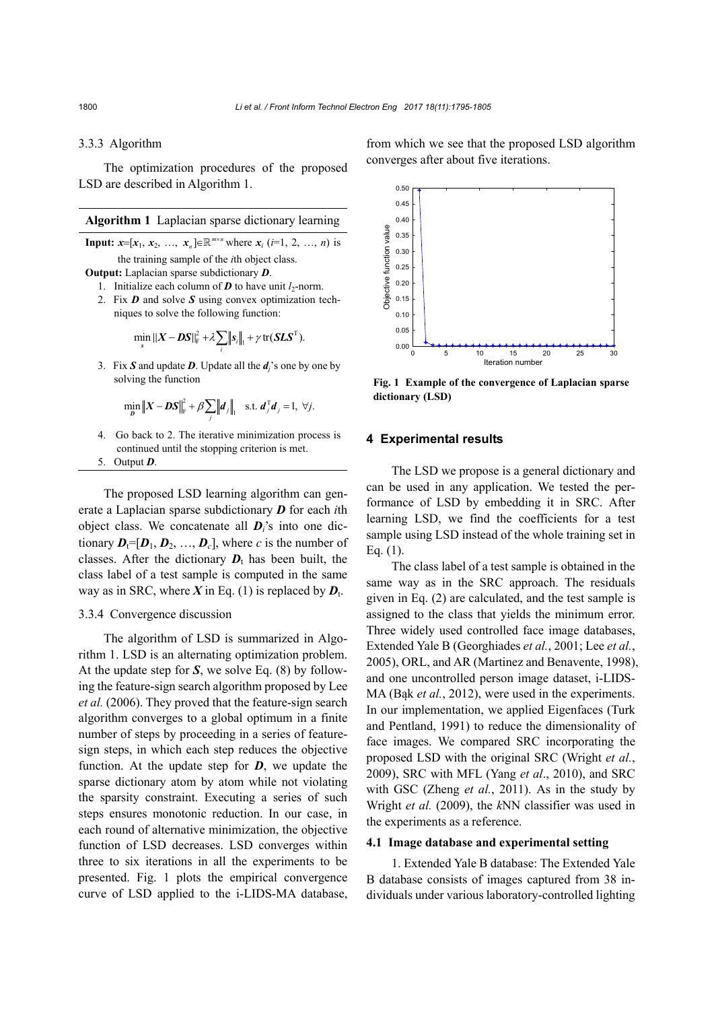# 3.3.3 Algorithm

The optimization procedures of the proposed LSD are described in Algorithm 1.

|  | <b>Algorithm 1</b> Laplacian sparse dictionary learning |  |
|--|---------------------------------------------------------|--|
|  |                                                         |  |

**Input:**  $x=[x_1, x_2, ..., x_n] \in \mathbb{R}^{m \times n}$  where  $x_i$  (*i*=1, 2, …, *n*) is the training sample of the *i*th object class.

**Output:** Laplacian sparse subdictionary *D*.

- 1. Initialize each column of  $\boldsymbol{D}$  to have unit *l*<sub>2</sub>-norm.
- 2. Fix *D* and solve *S* using convex optimization techniques to solve the following function:

$$
\min_{s} ||X - DS||_{\mathrm{F}}^2 + \lambda \sum_{i} ||s_{i}||_{1} + \gamma \operatorname{tr}(SLS^{\mathrm{T}}).
$$

3. Fix *S* and update *D*. Update all the *dj*'s one by one by solving the function

$$
\min_{\mathbf{D}} \left\| \mathbf{X} - \mathbf{D} \mathbf{S} \right\|_{\mathrm{F}}^2 + \beta \sum_j \left\| \mathbf{d}_j \right\|_{1} \quad \text{s.t. } \mathbf{d}_j^{\mathrm{T}} \mathbf{d}_j = 1, \ \forall j.
$$

4. Go back to 2. The iterative minimization process is continued until the stopping criterion is met.

5. Output *D*.

The proposed LSD learning algorithm can generate a Laplacian sparse subdictionary *D* for each *i*th object class. We concatenate all  $D_i$ 's into one dictionary  $D_1 = [D_1, D_2, ..., D_c]$ , where *c* is the number of classes. After the dictionary  $D_t$  has been built, the class label of a test sample is computed in the same way as in SRC, where  $X$  in Eq. (1) is replaced by  $D_t$ .

#### 3.3.4 Convergence discussion

The algorithm of LSD is summarized in Algorithm 1. LSD is an alternating optimization problem. At the update step for *S*, we solve Eq. (8) by following the feature-sign search algorithm proposed by Lee *et al.* (2006). They proved that the feature-sign search algorithm converges to a global optimum in a finite number of steps by proceeding in a series of featuresign steps, in which each step reduces the objective function. At the update step for *D*, we update the sparse dictionary atom by atom while not violating the sparsity constraint. Executing a series of such steps ensures monotonic reduction. In our case, in each round of alternative minimization, the objective function of LSD decreases. LSD converges within three to six iterations in all the experiments to be presented. Fig. 1 plots the empirical convergence curve of LSD applied to the i-LIDS-MA database, from which we see that the proposed LSD algorithm converges after about five iterations.



**Fig. 1 Example of the convergence of Laplacian sparse dictionary (LSD)** 

## **4 Experimental results**

The LSD we propose is a general dictionary and can be used in any application. We tested the performance of LSD by embedding it in SRC. After learning LSD, we find the coefficients for a test sample using LSD instead of the whole training set in Eq. (1).

The class label of a test sample is obtained in the same way as in the SRC approach. The residuals given in Eq. (2) are calculated, and the test sample is assigned to the class that yields the minimum error. Three widely used controlled face image databases, Extended Yale B (Georghiades *et al.*, 2001; Lee *et al.*, 2005), ORL, and AR (Martinez and Benavente, 1998), and one uncontrolled person image dataset, i-LIDS-MA (Bąk *et al.*, 2012), were used in the experiments. In our implementation, we applied Eigenfaces (Turk and Pentland, 1991) to reduce the dimensionality of face images. We compared SRC incorporating the proposed LSD with the original SRC (Wright *et al.*, 2009), SRC with MFL (Yang *et al*., 2010), and SRC with GSC (Zheng *et al.*, 2011). As in the study by Wright *et al.* (2009), the *k*NN classifier was used in the experiments as a reference.

#### **4.1 Image database and experimental setting**

1. Extended Yale B database: The Extended Yale B database consists of images captured from 38 individuals under various laboratory-controlled lighting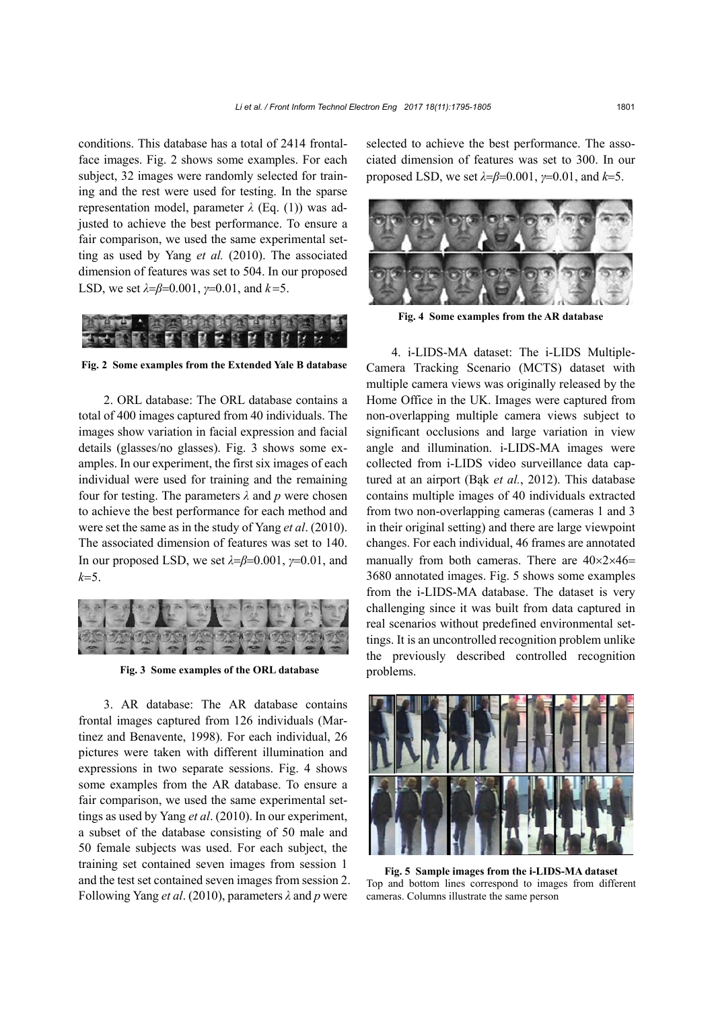conditions. This database has a total of 2414 frontalface images. Fig. 2 shows some examples. For each subject, 32 images were randomly selected for training and the rest were used for testing. In the sparse representation model, parameter *λ* (Eq. (1)) was adjusted to achieve the best performance. To ensure a fair comparison, we used the same experimental setting as used by Yang *et al.* (2010). The associated dimension of features was set to 504. In our proposed LSD, we set  $\lambda = \beta = 0.001$ ,  $\gamma = 0.01$ , and  $k = 5$ .



**Fig. 2 Some examples from the Extended Yale B database**

2. ORL database: The ORL database contains a total of 400 images captured from 40 individuals. The images show variation in facial expression and facial details (glasses/no glasses). Fig. 3 shows some examples. In our experiment, the first six images of each individual were used for training and the remaining four for testing. The parameters  $\lambda$  and  $p$  were chosen to achieve the best performance for each method and were set the same as in the study of Yang *et al*. (2010). The associated dimension of features was set to 140. In our proposed LSD, we set  $\lambda = \beta = 0.001$ ,  $\gamma = 0.01$ , and  $k = 5$ .



Fig. 3 Some examples of the ORL database problems.

3. AR database: The AR database contains frontal images captured from 126 individuals (Martinez and Benavente, 1998). For each individual, 26 pictures were taken with different illumination and expressions in two separate sessions. Fig. 4 shows some examples from the AR database. To ensure a fair comparison, we used the same experimental settings as used by Yang *et al*. (2010). In our experiment, a subset of the database consisting of 50 male and 50 female subjects was used. For each subject, the training set contained seven images from session 1 and the test set contained seven images from session 2. Following Yang *et al*. (2010), parameters *λ* and *p* were

selected to achieve the best performance. The associated dimension of features was set to 300. In our proposed LSD, we set  $\lambda = \beta = 0.001$ ,  $\gamma = 0.01$ , and  $k = 5$ .



**Fig. 4 Some examples from the AR database** 

4. i-LIDS-MA dataset: The i-LIDS Multiple-Camera Tracking Scenario (MCTS) dataset with multiple camera views was originally released by the Home Office in the UK. Images were captured from non-overlapping multiple camera views subject to significant occlusions and large variation in view angle and illumination. i-LIDS-MA images were collected from i-LIDS video surveillance data captured at an airport (Bąk *et al.*, 2012). This database contains multiple images of 40 individuals extracted from two non-overlapping cameras (cameras 1 and 3 in their original setting) and there are large viewpoint changes. For each individual, 46 frames are annotated manually from both cameras. There are  $40 \times 2 \times 46 =$ 3680 annotated images. Fig. 5 shows some examples from the i-LIDS-MA database. The dataset is very challenging since it was built from data captured in real scenarios without predefined environmental settings. It is an uncontrolled recognition problem unlike the previously described controlled recognition



**Fig. 5 Sample images from the i-LIDS-MA dataset**  Top and bottom lines correspond to images from different cameras. Columns illustrate the same person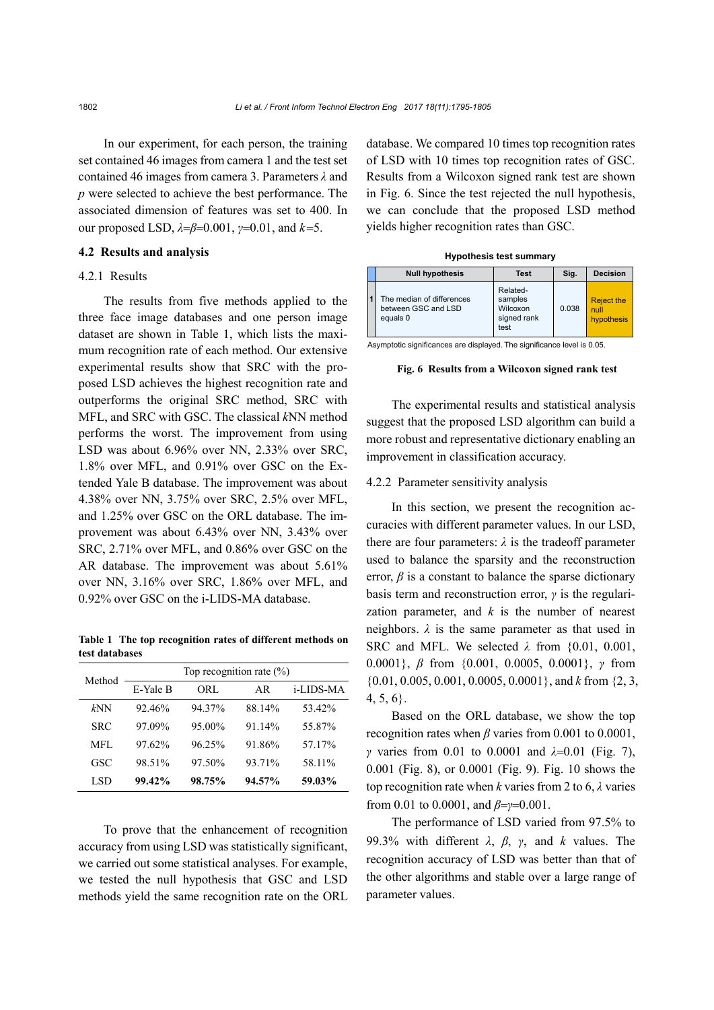In our experiment, for each person, the training set contained 46 images from camera 1 and the test set contained 46 images from camera 3. Parameters *λ* and *p* were selected to achieve the best performance. The associated dimension of features was set to 400. In our proposed LSD,  $λ=β=0.001$ ,  $γ=0.01$ , and  $k=5$ .

## **4.2 Results and analysis**

# 4.2.1 Results

The results from five methods applied to the three face image databases and one person image dataset are shown in Table 1, which lists the maximum recognition rate of each method. Our extensive experimental results show that SRC with the proposed LSD achieves the highest recognition rate and outperforms the original SRC method, SRC with MFL, and SRC with GSC. The classical *k*NN method performs the worst. The improvement from using LSD was about 6.96% over NN, 2.33% over SRC, 1.8% over MFL, and 0.91% over GSC on the Extended Yale B database. The improvement was about 4.38% over NN, 3.75% over SRC, 2.5% over MFL, and 1.25% over GSC on the ORL database. The improvement was about 6.43% over NN, 3.43% over SRC, 2.71% over MFL, and 0.86% over GSC on the AR database. The improvement was about 5.61% over NN, 3.16% over SRC, 1.86% over MFL, and 0.92% over GSC on the i-LIDS-MA database.

**Table 1 The top recognition rates of different methods on test databases**

| Method     | Top recognition rate $(\%)$ |        |        |           |  |  |
|------------|-----------------------------|--------|--------|-----------|--|--|
|            | E-Yale B                    | ORL    | AR     | i-LIDS-MA |  |  |
| kNN        | 92.46%                      | 94.37% | 88 14% | 53 42%    |  |  |
| <b>SRC</b> | 97 09%                      | 95.00% | 91 14% | 55.87%    |  |  |
| MFL        | 97.62%                      | 96 25% | 91 86% | 57.17%    |  |  |
| GSC        | 98.51%                      | 97.50% | 93.71% | 58.11%    |  |  |
| LSD        | 99.42%                      | 98.75% | 94.57% | 59.03%    |  |  |

To prove that the enhancement of recognition accuracy from using LSD was statistically significant, we carried out some statistical analyses. For example, we tested the null hypothesis that GSC and LSD methods yield the same recognition rate on the ORL database. We compared 10 times top recognition rates of LSD with 10 times top recognition rates of GSC. Results from a Wilcoxon signed rank test are shown in Fig. 6. Since the test rejected the null hypothesis, we can conclude that the proposed LSD method yields higher recognition rates than GSC.

| <b>Null hypothesis</b>                                       | <b>Test</b>                                            | Sig.  | <b>Decision</b>                         |  |  |  |  |
|--------------------------------------------------------------|--------------------------------------------------------|-------|-----------------------------------------|--|--|--|--|
| The median of differences<br>between GSC and LSD<br>equals 0 | Related-<br>samples<br>Wilcoxon<br>signed rank<br>test | 0.038 | <b>Reject the</b><br>null<br>hypothesis |  |  |  |  |

Asymptotic significances are displayed. The significance level is 0.05.

#### **Fig. 6 Results from a Wilcoxon signed rank test**

The experimental results and statistical analysis suggest that the proposed LSD algorithm can build a more robust and representative dictionary enabling an improvement in classification accuracy.

# 4.2.2 Parameter sensitivity analysis

In this section, we present the recognition accuracies with different parameter values. In our LSD, there are four parameters:  $\lambda$  is the tradeoff parameter used to balance the sparsity and the reconstruction error,  $\beta$  is a constant to balance the sparse dictionary basis term and reconstruction error, *γ* is the regularization parameter, and *k* is the number of nearest neighbors.  $\lambda$  is the same parameter as that used in SRC and MFL. We selected  $\lambda$  from  $\{0.01, 0.001, \ldots\}$ 0.0001}, *β* from {0.001, 0.0005, 0.0001}, *γ* from {0.01, 0.005, 0.001, 0.0005, 0.0001}, and *k* from {2, 3, 4, 5, 6}.

Based on the ORL database, we show the top recognition rates when  $\beta$  varies from 0.001 to 0.0001, *γ* varies from 0.01 to 0.0001 and  $λ=0.01$  (Fig. 7), 0.001 (Fig. 8), or 0.0001 (Fig. 9). Fig. 10 shows the top recognition rate when *k* varies from 2 to 6, *λ* varies from 0.01 to 0.0001, and  $\beta = \gamma = 0.001$ .

The performance of LSD varied from 97.5% to 99.3% with different *λ*, *β*, *γ*, and *k* values. The recognition accuracy of LSD was better than that of the other algorithms and stable over a large range of parameter values.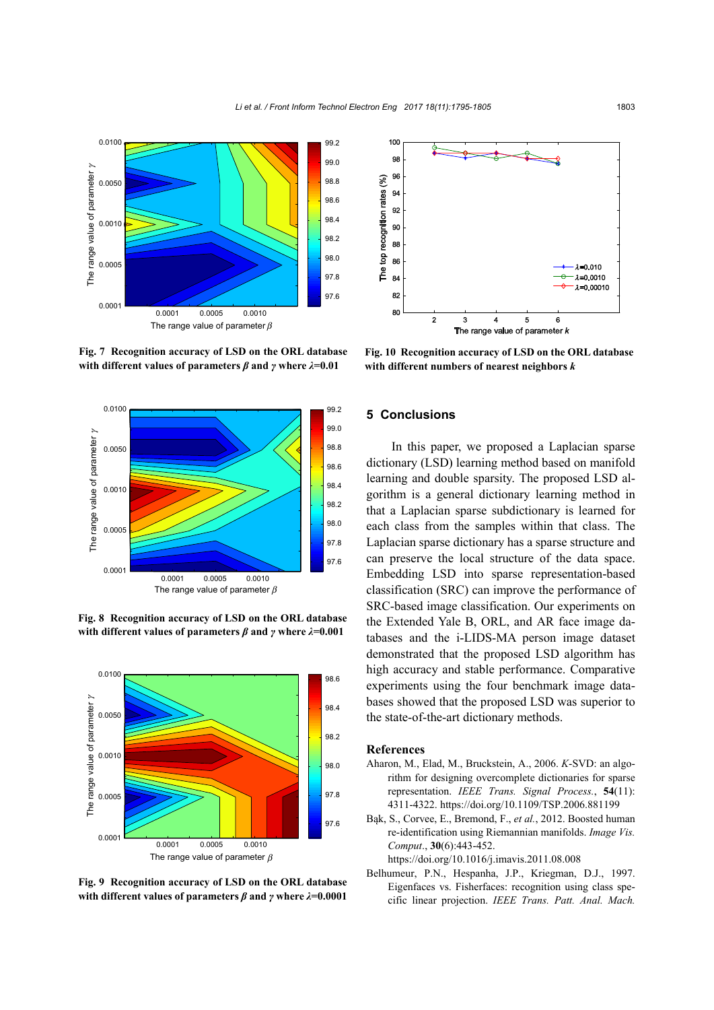

**Fig. 7 Recognition accuracy of LSD on the ORL database with different values of parameters** *β* **and** *γ* **where** *λ***=0.01**



**Fig. 8 Recognition accuracy of LSD on the ORL database**



**Fig. 9 Recognition accuracy of LSD on the ORL database with different values of parameters**  $\beta$  **and**  $\gamma$  **where**  $\lambda = 0.0001$ 



**Fig. 10 Recognition accuracy of LSD on the ORL database with different numbers of nearest neighbors** *k*

# **5 Conclusions**

In this paper, we proposed a Laplacian sparse dictionary (LSD) learning method based on manifold learning and double sparsity. The proposed LSD algorithm is a general dictionary learning method in that a Laplacian sparse subdictionary is learned for each class from the samples within that class. The Laplacian sparse dictionary has a sparse structure and can preserve the local structure of the data space. Embedding LSD into sparse representation-based classification (SRC) can improve the performance of SRC-based image classification. Our experiments on the Extended Yale B, ORL, and AR face image databases and the i-LIDS-MA person image dataset demonstrated that the proposed LSD algorithm has high accuracy and stable performance. Comparative experiments using the four benchmark image databases showed that the proposed LSD was superior to the state-of-the-art dictionary methods.

#### **References**

- Aharon, M., Elad, M., Bruckstein, A., 2006. *K*-SVD: an algorithm for designing overcomplete dictionaries for sparse representation. *IEEE Trans. Signal Process.*, **54**(11): 4311-4322. https://doi.org/10.1109/TSP.2006.881199
- Bąk, S., Corvee, E., Bremond, F., *et al.*, 2012. Boosted human re-identification using Riemannian manifolds. *Image Vis. Comput*., **30**(6):443-452. https://doi.org/10.1016/j.imavis.2011.08.008

Belhumeur, P.N., Hespanha, J.P., Kriegman, D.J., 1997.

Eigenfaces vs. Fisherfaces: recognition using class specific linear projection. *IEEE Trans. Patt. Anal. Mach.*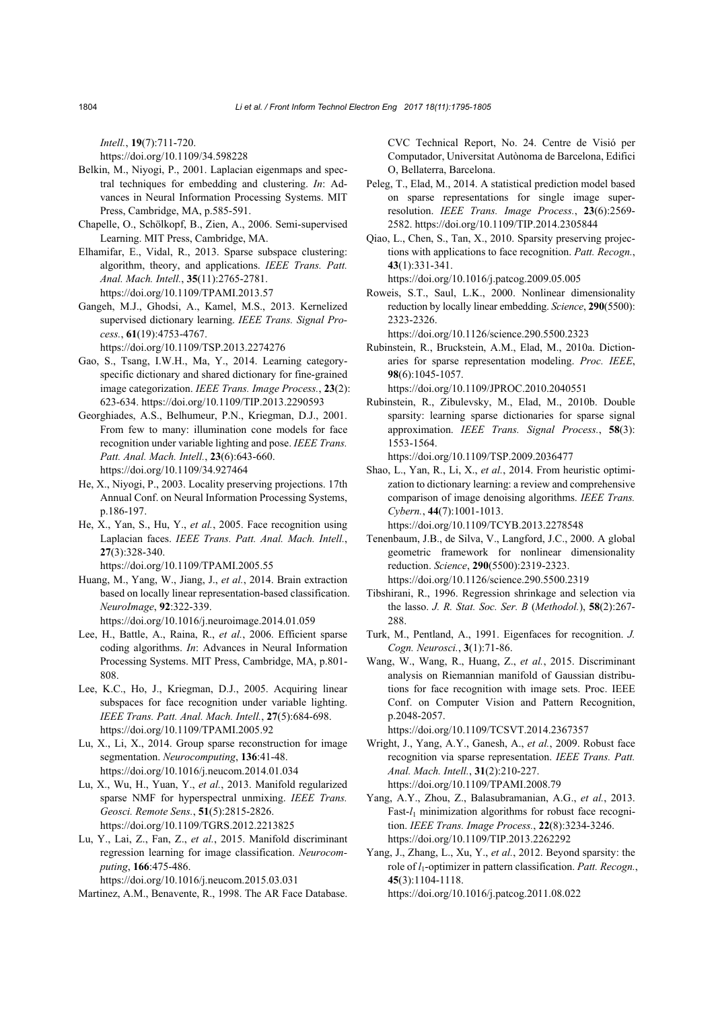*Intell.*, **19**(7):711-720.

https://doi.org/10.1109/34.598228

- Belkin, M., Niyogi, P., 2001. Laplacian eigenmaps and spectral techniques for embedding and clustering. *In*: Advances in Neural Information Processing Systems. MIT Press, Cambridge, MA, p.585-591.
- Chapelle, O., Schölkopf, B., Zien, A., 2006. Semi-supervised Learning. MIT Press, Cambridge, MA.
- Elhamifar, E., Vidal, R., 2013. Sparse subspace clustering: algorithm, theory, and applications. *IEEE Trans. Patt. Anal. Mach. Intell.*, **35**(11):2765-2781. https://doi.org/10.1109/TPAMI.2013.57
- Gangeh, M.J., Ghodsi, A., Kamel, M.S., 2013. Kernelized supervised dictionary learning. *IEEE Trans. Signal Process.*, **61**(19):4753-4767. https://doi.org/10.1109/TSP.2013.2274276
- Gao, S., Tsang, I.W.H., Ma, Y., 2014. Learning categoryspecific dictionary and shared dictionary for fine-grained image categorization. *IEEE Trans. Image Process.*, **23**(2): 623-634. https://doi.org/10.1109/TIP.2013.2290593
- Georghiades, A.S., Belhumeur, P.N., Kriegman, D.J., 2001. From few to many: illumination cone models for face recognition under variable lighting and pose. *IEEE Trans. Patt. Anal. Mach. Intell.*, **23**(6):643-660. https://doi.org/10.1109/34.927464
- He, X., Niyogi, P., 2003. Locality preserving projections. 17th Annual Conf. on Neural Information Processing Systems, p.186-197.
- He, X., Yan, S., Hu, Y., *et al.*, 2005. Face recognition using Laplacian faces. *IEEE Trans. Patt. Anal. Mach. Intell.*, **27**(3):328-340. https://doi.org/10.1109/TPAMI.2005.55
- Huang, M., Yang, W., Jiang, J., *et al.*, 2014. Brain extraction based on locally linear representation-based classification. *NeuroImage*, **92**:322-339. https://doi.org/10.1016/j.neuroimage.2014.01.059
- Lee, H., Battle, A., Raina, R., *et al.*, 2006. Efficient sparse coding algorithms. *In*: Advances in Neural Information Processing Systems. MIT Press, Cambridge, MA, p.801- 808.
- Lee, K.C., Ho, J., Kriegman, D.J., 2005. Acquiring linear subspaces for face recognition under variable lighting. *IEEE Trans. Patt. Anal. Mach. Intell.*, **27**(5):684-698. https://doi.org/10.1109/TPAMI.2005.92
- Lu, X., Li, X., 2014. Group sparse reconstruction for image segmentation. *Neurocomputing*, **136**:41-48. https://doi.org/10.1016/j.neucom.2014.01.034
- Lu, X., Wu, H., Yuan, Y., *et al.*, 2013. Manifold regularized sparse NMF for hyperspectral unmixing. *IEEE Trans. Geosci. Remote Sens.*, **51**(5):2815-2826. https://doi.org/10.1109/TGRS.2012.2213825
- Lu, Y., Lai, Z., Fan, Z., *et al.*, 2015. Manifold discriminant regression learning for image classification. *Neurocomputing*, **166**:475-486. https://doi.org/10.1016/j.neucom.2015.03.031

Martinez, A.M., Benavente, R., 1998. The AR Face Database.

CVC Technical Report, No. 24. Centre de Visió per Computador, Universitat Autònoma de Barcelona, Edifici O, Bellaterra, Barcelona.

- Peleg, T., Elad, M., 2014. A statistical prediction model based on sparse representations for single image superresolution. *IEEE Trans. Image Process.*, **23**(6):2569- 2582. https://doi.org/10.1109/TIP.2014.2305844
- Qiao, L., Chen, S., Tan, X., 2010. Sparsity preserving projections with applications to face recognition. *Patt. Recogn.*, **43**(1):331-341.

https://doi.org/10.1016/j.patcog.2009.05.005

Roweis, S.T., Saul, L.K., 2000. Nonlinear dimensionality reduction by locally linear embedding. *Science*, **290**(5500): 2323-2326.

https://doi.org/10.1126/science.290.5500.2323

Rubinstein, R., Bruckstein, A.M., Elad, M., 2010a. Dictionaries for sparse representation modeling. *Proc. IEEE*, **98**(6):1045-1057.

https://doi.org/10.1109/JPROC.2010.2040551 Rubinstein, R., Zibulevsky, M., Elad, M., 2010b. Double

sparsity: learning sparse dictionaries for sparse signal approximation. *IEEE Trans. Signal Process.*, **58**(3): 1553-1564.

https://doi.org/10.1109/TSP.2009.2036477

- Shao, L., Yan, R., Li, X., *et al.*, 2014. From heuristic optimization to dictionary learning: a review and comprehensive comparison of image denoising algorithms. *IEEE Trans. Cybern.*, **44**(7):1001-1013. https://doi.org/10.1109/TCYB.2013.2278548
- Tenenbaum, J.B., de Silva, V., Langford, J.C., 2000. A global geometric framework for nonlinear dimensionality reduction. *Science*, **290**(5500):2319-2323. https://doi.org/10.1126/science.290.5500.2319
- Tibshirani, R., 1996. Regression shrinkage and selection via the lasso. *J. R. Stat. Soc. Ser. B* (*Methodol.*), **58**(2):267- 288.
- Turk, M., Pentland, A., 1991. Eigenfaces for recognition. *J. Cogn. Neurosci.*, **3**(1):71-86.
- Wang, W., Wang, R., Huang, Z., *et al.*, 2015. Discriminant analysis on Riemannian manifold of Gaussian distributions for face recognition with image sets. Proc. IEEE Conf. on Computer Vision and Pattern Recognition, p.2048-2057.

https://doi.org/10.1109/TCSVT.2014.2367357 Wright, J., Yang, A.Y., Ganesh, A., *et al.*, 2009. Robust face

- recognition via sparse representation. *IEEE Trans. Patt. Anal. Mach. Intell.*, **31**(2):210-227. https://doi.org/10.1109/TPAMI.2008.79
- Yang, A.Y., Zhou, Z., Balasubramanian, A.G., *et al.*, 2013. Fast- $l_1$  minimization algorithms for robust face recognition. *IEEE Trans. Image Process.*, **22**(8):3234-3246. https://doi.org/10.1109/TIP.2013.2262292
- Yang, J., Zhang, L., Xu, Y., *et al.*, 2012. Beyond sparsity: the role of *l*1-optimizer in pattern classification. *Patt. Recogn.*, **45**(3):1104-1118. https://doi.org/10.1016/j.patcog.2011.08.022